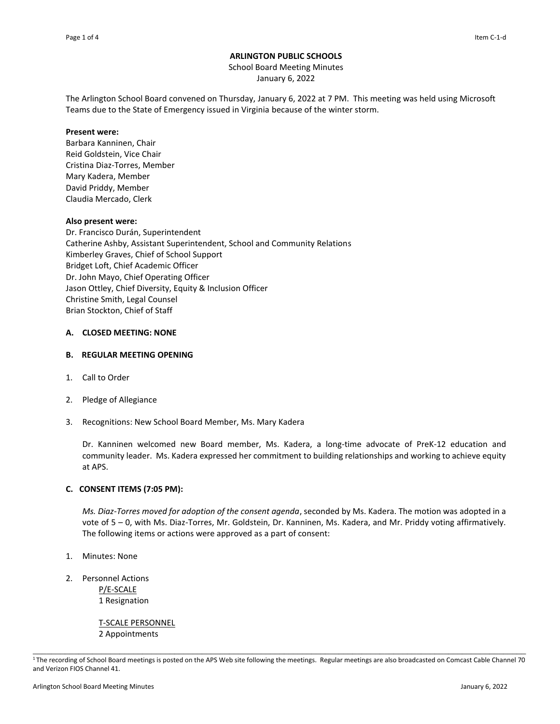# **ARLINGTON PUBLIC SCHOOLS**

School Board Meeting Minutes January 6, 2022

The Arlington School Board convened on Thursday, January 6, 2022 at 7 PM. This meeting was held using Microsoft Teams due to the State of Emergency issued in Virginia because of the winter storm.

#### **Present were:**

Barbara Kanninen, Chair Reid Goldstein, Vice Chair Cristina Diaz-Torres, Member Mary Kadera, Member David Priddy, Member Claudia Mercado, Clerk

### **Also present were:**

Dr. Francisco Durán, Superintendent Catherine Ashby, Assistant Superintendent, School and Community Relations Kimberley Graves, Chief of School Support Bridget Loft, Chief Academic Officer Dr. John Mayo, Chief Operating Officer Jason Ottley, Chief Diversity, Equity & Inclusion Officer Christine Smith, Legal Counsel Brian Stockton, Chief of Staff

### **A. CLOSED MEETING: NONE**

### **B. REGULAR MEETING OPENING**

- 1. Call to Order
- 2. Pledge of Allegiance
- 3. Recognitions: New School Board Member, Ms. Mary Kadera

Dr. Kanninen welcomed new Board member, Ms. Kadera, a long-time advocate of PreK-12 education and community leader. Ms. Kadera expressed her commitment to building relationships and working to achieve equity at APS.

## **C. CONSENT ITEMS (7:05 PM):**

*Ms. Diaz-Torres moved for adoption of the consent agenda*, seconded by Ms. Kadera. The motion was adopted in a vote of 5 – 0, with Ms. Diaz-Torres, Mr. Goldstein, Dr. Kanninen, Ms. Kadera, and Mr. Priddy voting affirmatively. The following items or actions were approved as a part of consent:

- 1. Minutes: None
- 2. Personnel Actions P/E-SCALE 1 Resignation

T-SCALE PERSONNEL 2 Appointments

\_\_\_\_\_\_\_\_\_\_\_\_\_\_\_\_\_\_\_\_\_\_\_\_\_\_\_\_\_\_\_\_\_\_\_\_\_\_\_\_\_\_\_\_\_\_\_\_\_\_\_\_\_\_\_\_\_\_\_\_\_\_\_\_\_\_\_\_\_\_\_\_\_\_\_\_\_\_\_\_\_\_\_\_\_\_\_\_\_\_\_\_\_\_\_\_\_\_\_\_\_\_\_\_\_\_\_\_ <sup>1</sup>The recording of School Board meetings is posted on the APS Web site following the meetings. Regular meetings are also broadcasted on Comcast Cable Channel 70 and Verizon FIOS Channel 41.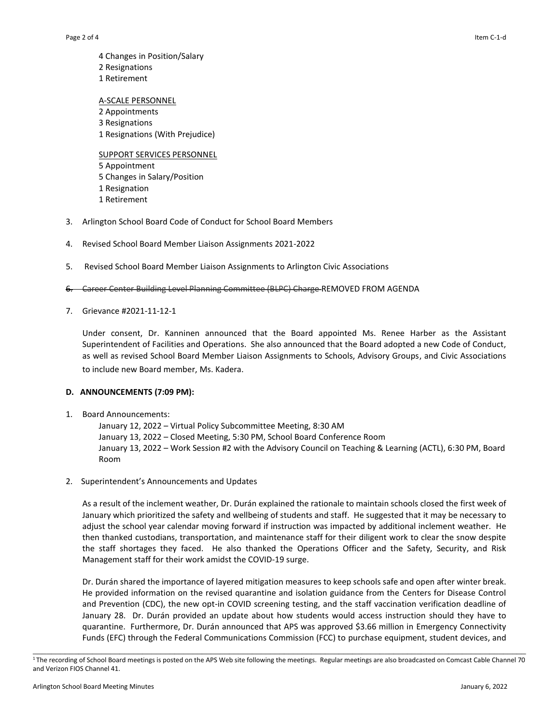4 Changes in Position/Salary 2 Resignations 1 Retirement

A-SCALE PERSONNEL Appointments Resignations Resignations (With Prejudice)

SUPPORT SERVICES PERSONNEL 5 Appointment 5 Changes in Salary/Position 1 Resignation 1 Retirement

- 3. Arlington School Board Code of Conduct for School Board Members
- 4. Revised School Board Member Liaison Assignments 2021-2022
- 5. Revised School Board Member Liaison Assignments to Arlington Civic Associations
- 6. Career Center Building Level Planning Committee (BLPC) Charge REMOVED FROM AGENDA
- 7. Grievance #2021-11-12-1

Under consent, Dr. Kanninen announced that the Board appointed Ms. Renee Harber as the Assistant Superintendent of Facilities and Operations. She also announced that the Board adopted a new Code of Conduct, as well as revised School Board Member Liaison Assignments to Schools, Advisory Groups, and Civic Associations to include new Board member, Ms. Kadera. 

#### **D. ANNOUNCEMENTS (7:09 PM):**

1. Board Announcements:

January 12, 2022 – Virtual Policy Subcommittee Meeting, 8:30 AM January 13, 2022 – Closed Meeting, 5:30 PM, School Board Conference Room  January 13, 2022 – Work Session #2 with the Advisory Council on Teaching & Learning (ACTL), 6:30 PM, Board Room

2. Superintendent's Announcements and Updates

As a result of the inclement weather, Dr. Durán explained the rationale to maintain schools closed the first week of January which prioritized the safety and wellbeing of students and staff. He suggested that it may be necessary to adjust the school year calendar moving forward if instruction was impacted by additional inclement weather. He then thanked custodians, transportation, and maintenance staff for their diligent work to clear the snow despite the staff shortages they faced. He also thanked the Operations Officer and the Safety, Security, and Risk Management staff for their work amidst the COVID-19 surge.

Dr. Durán shared the importance of layered mitigation measures to keep schools safe and open after winter break. He provided information on the revised quarantine and isolation guidance from the Centers for Disease Control and Prevention (CDC), the new opt-in COVID screening testing, and the staff vaccination verification deadline of January 28. Dr. Durán provided an update about how students would access instruction should they have to quarantine. Furthermore, Dr. Durán announced that APS was approved \$3.66 million in Emergency Connectivity Funds (EFC) through the Federal Communications Commission (FCC) to purchase equipment, student devices, and

\_\_\_\_\_\_\_\_\_\_\_\_\_\_\_\_\_\_\_\_\_\_\_\_\_\_\_\_\_\_\_\_\_\_\_\_\_\_\_\_\_\_\_\_\_\_\_\_\_\_\_\_\_\_\_\_\_\_\_\_\_\_\_\_\_\_\_\_\_\_\_\_\_\_\_\_\_\_\_\_\_\_\_\_\_\_\_\_\_\_\_\_\_\_\_\_\_\_\_\_\_\_\_\_\_\_\_\_ <sup>1</sup>The recording of School Board meetings is posted on the APS Web site following the meetings. Regular meetings are also broadcasted on Comcast Cable Channel 70 and Verizon FIOS Channel 41.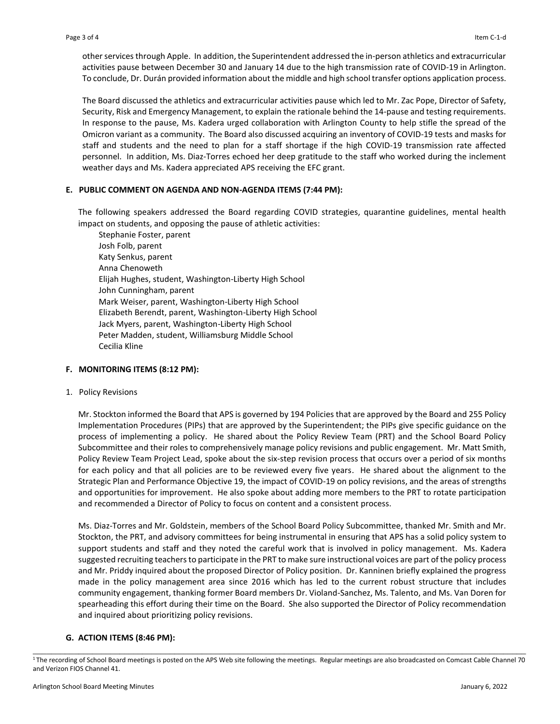other services through Apple. In addition, the Superintendent addressed the in-person athletics and extracurricular activities pause between December 30 and January 14 due to the high transmission rate of COVID-19 in Arlington. To conclude, Dr. Durán provided information about the middle and high school transfer options application process.

The Board discussed the athletics and extracurricular activities pause which led to Mr. Zac Pope, Director of Safety, Security, Risk and Emergency Management, to explain the rationale behind the 14-pause and testing requirements. In response to the pause, Ms. Kadera urged collaboration with Arlington County to help stifle the spread of the Omicron variant as a community. The Board also discussed acquiring an inventory of COVID-19 tests and masks for staff and students and the need to plan for a staff shortage if the high COVID-19 transmission rate affected personnel. In addition, Ms. Diaz-Torres echoed her deep gratitude to the staff who worked during the inclement weather days and Ms. Kadera appreciated APS receiving the EFC grant.

### **E. PUBLIC COMMENT ON AGENDA AND NON-AGENDA ITEMS (7:44 PM):**

The following speakers addressed the Board regarding COVID strategies, quarantine guidelines, mental health impact on students, and opposing the pause of athletic activities:

Stephanie Foster, parent Josh Folb, parent Katy Senkus, parent Anna Chenoweth Elijah Hughes, student, Washington-Liberty High School John Cunningham, parent Mark Weiser, parent, Washington-Liberty High School Elizabeth Berendt, parent, Washington-Liberty High School Jack Myers, parent, Washington-Liberty High School Peter Madden, student, Williamsburg Middle School Cecilia Kline

#### **F. MONITORING ITEMS (8:12 PM):**

#### 1. Policy Revisions

Mr. Stockton informed the Board that APS is governed by 194 Policies that are approved by the Board and 255 Policy Implementation Procedures (PIPs) that are approved by the Superintendent; the PIPs give specific guidance on the process of implementing a policy. He shared about the Policy Review Team (PRT) and the School Board Policy Subcommittee and their roles to comprehensively manage policy revisions and public engagement. Mr. Matt Smith, Policy Review Team Project Lead, spoke about the six-step revision process that occurs over a period of six months for each policy and that all policies are to be reviewed every five years. He shared about the alignment to the Strategic Plan and Performance Objective 19, the impact of COVID-19 on policy revisions, and the areas of strengths and opportunities for improvement. He also spoke about adding more members to the PRT to rotate participation and recommended a Director of Policy to focus on content and a consistent process.

Ms. Diaz-Torres and Mr. Goldstein, members of the School Board Policy Subcommittee, thanked Mr. Smith and Mr. Stockton, the PRT, and advisory committees for being instrumental in ensuring that APS has a solid policy system to support students and staff and they noted the careful work that is involved in policy management. Ms. Kadera suggested recruiting teachers to participate in the PRT to make sure instructional voices are part of the policy process and Mr. Priddy inquired about the proposed Director of Policy position. Dr. Kanninen briefly explained the progress made in the policy management area since 2016 which has led to the current robust structure that includes community engagement, thanking former Board members Dr. Violand-Sanchez, Ms. Talento, and Ms. Van Doren for spearheading this effort during their time on the Board. She also supported the Director of Policy recommendation and inquired about prioritizing policy revisions.

#### **G. ACTION ITEMS (8:46 PM):**

\_\_\_\_\_\_\_\_\_\_\_\_\_\_\_\_\_\_\_\_\_\_\_\_\_\_\_\_\_\_\_\_\_\_\_\_\_\_\_\_\_\_\_\_\_\_\_\_\_\_\_\_\_\_\_\_\_\_\_\_\_\_\_\_\_\_\_\_\_\_\_\_\_\_\_\_\_\_\_\_\_\_\_\_\_\_\_\_\_\_\_\_\_\_\_\_\_\_\_\_\_\_\_\_\_\_\_\_ <sup>1</sup>The recording of School Board meetings is posted on the APS Web site following the meetings. Regular meetings are also broadcasted on Comcast Cable Channel 70 and Verizon FIOS Channel 41.